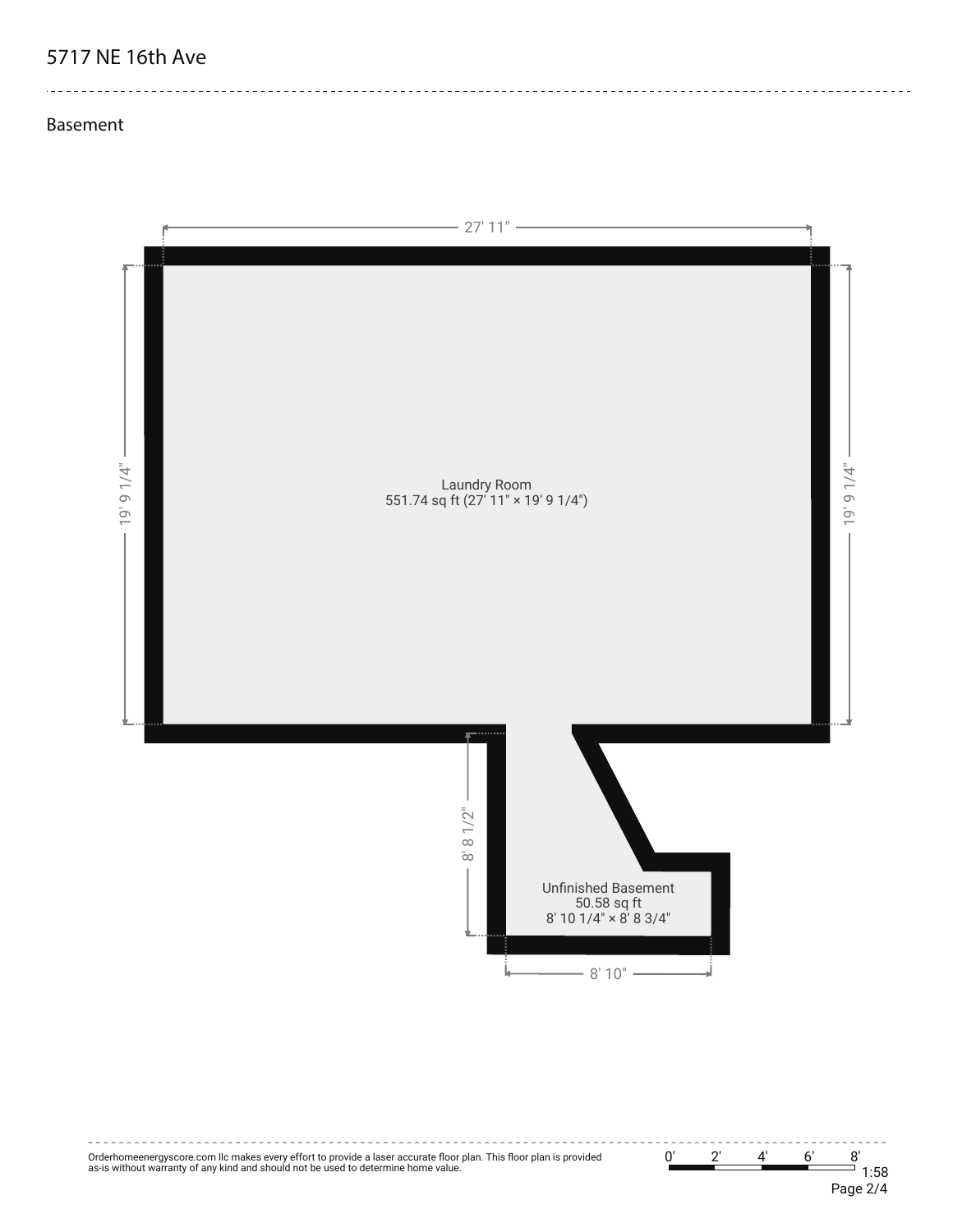# **5717 NE 16th Ave**

<u>\_\_\_\_\_\_\_\_\_\_\_\_\_\_\_\_</u>

. . . . . . . . . . . . . . . . . . . .

#### **Basement**



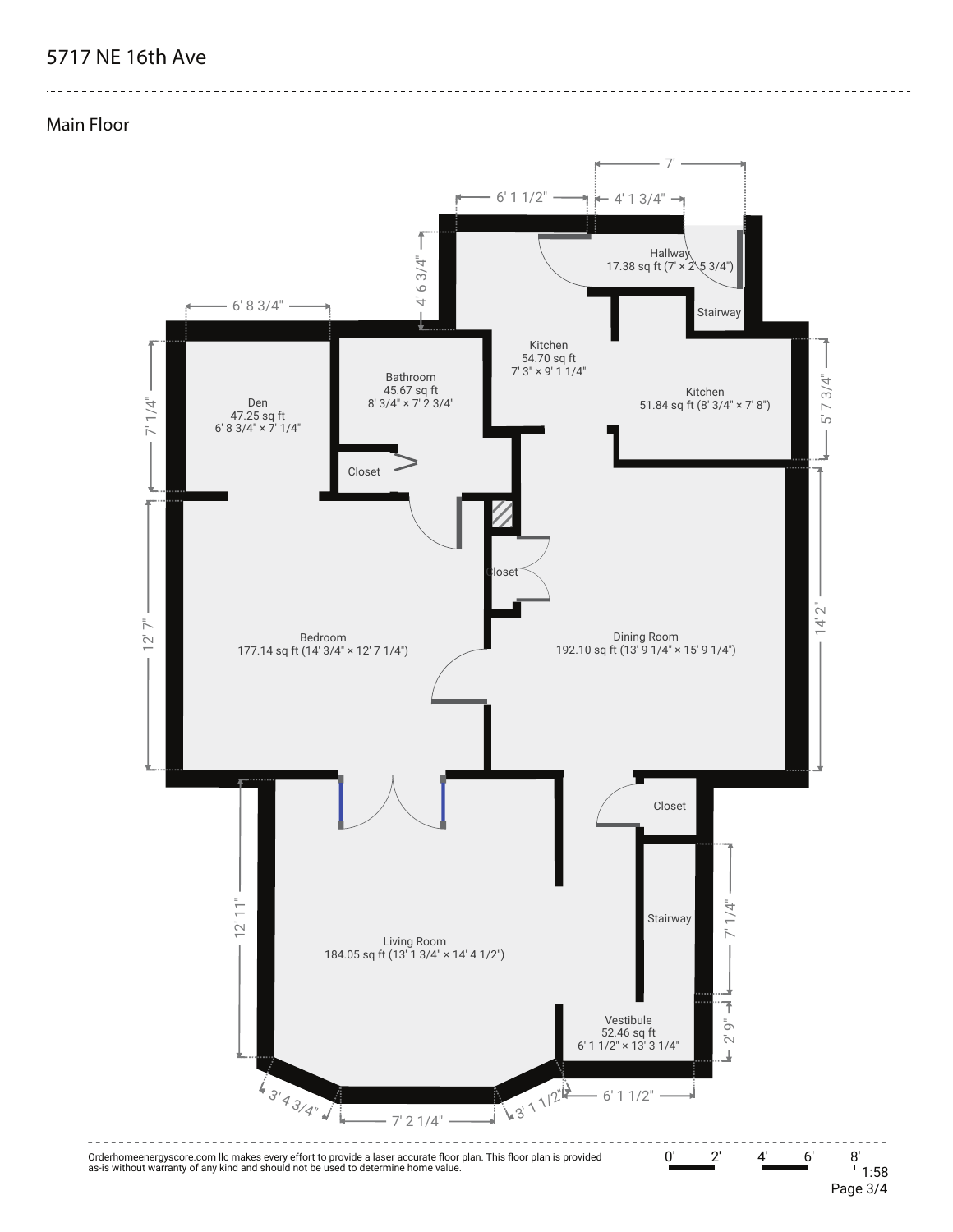## **5717 NE 16th Ave**

#### **Main Floor**